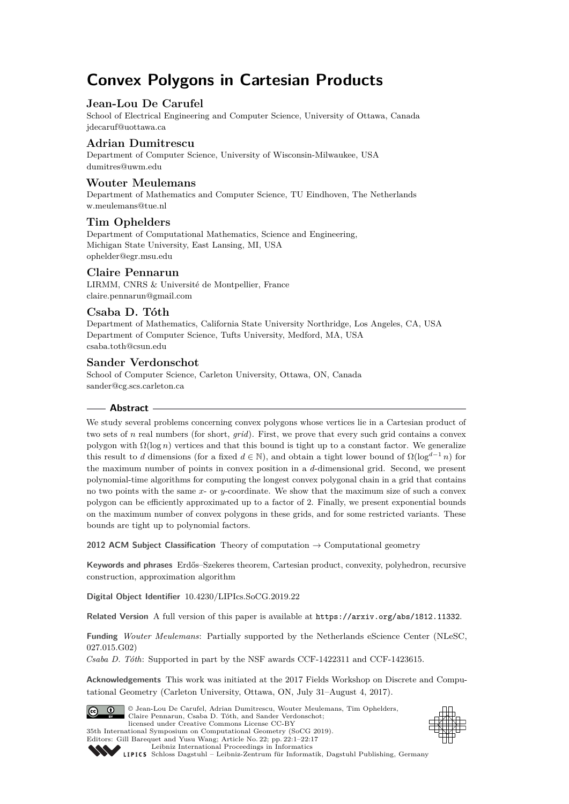# **Convex Polygons in Cartesian Products**

# **Jean-Lou De Carufel**

School of Electrical Engineering and Computer Science, University of Ottawa, Canada [jdecaruf@uottawa.ca](mailto:jdecaruf@uottawa.ca)

# **Adrian Dumitrescu**

Department of Computer Science, University of Wisconsin-Milwaukee, USA [dumitres@uwm.edu](mailto:dumitres@uwm.edu)

# **Wouter Meulemans**

Department of Mathematics and Computer Science, TU Eindhoven, The Netherlands [w.meulemans@tue.nl](mailto:w.meulemans@tue.nl)

# **Tim Ophelders**

Department of Computational Mathematics, Science and Engineering, Michigan State University, East Lansing, MI, USA [ophelder@egr.msu.edu](mailto:ophelder@egr.msu.edu)

# **Claire Pennarun**

LIRMM, CNRS & Université de Montpellier, France [claire.pennarun@gmail.com](mailto:claire.pennarun@gmail.com)

# **Csaba D. Tóth**

Department of Mathematics, California State University Northridge, Los Angeles, CA, USA Department of Computer Science, Tufts University, Medford, MA, USA [csaba.toth@csun.edu](mailto:csaba.toth@csun.edu)

# **Sander Verdonschot**

School of Computer Science, Carleton University, Ottawa, ON, Canada [sander@cg.scs.carleton.ca](mailto:sander@cg.scs.carleton.ca)

# **Abstract**

We study several problems concerning convex polygons whose vertices lie in a Cartesian product of two sets of *n* real numbers (for short, *grid*). First, we prove that every such grid contains a convex polygon with  $\Omega(\log n)$  vertices and that this bound is tight up to a constant factor. We generalize this result to *d* dimensions (for a fixed  $d \in \mathbb{N}$ ), and obtain a tight lower bound of  $\Omega(\log^{d-1} n)$  for the maximum number of points in convex position in a *d*-dimensional grid. Second, we present polynomial-time algorithms for computing the longest convex polygonal chain in a grid that contains no two points with the same *x*- or *y*-coordinate. We show that the maximum size of such a convex polygon can be efficiently approximated up to a factor of 2. Finally, we present exponential bounds on the maximum number of convex polygons in these grids, and for some restricted variants. These bounds are tight up to polynomial factors.

**2012 ACM Subject Classification** Theory of computation → Computational geometry

**Keywords and phrases** Erdős–Szekeres theorem, Cartesian product, convexity, polyhedron, recursive construction, approximation algorithm

**Digital Object Identifier** [10.4230/LIPIcs.SoCG.2019.22](https://doi.org/10.4230/LIPIcs.SoCG.2019.22)

**Related Version** A full version of this paper is available at <https://arxiv.org/abs/1812.11332>.

**Funding** *Wouter Meulemans*: Partially supported by the Netherlands eScience Center (NLeSC, 027.015.G02)

*Csaba D. Tóth*: Supported in part by the NSF awards CCF-1422311 and CCF-1423615.

**Acknowledgements** This work was initiated at the 2017 Fields Workshop on Discrete and Computational Geometry (Carleton University, Ottawa, ON, July 31–August 4, 2017).



© Jean-Lou De Carufel, Adrian Dumitrescu, Wouter Meulemans, Tim Ophelders, Claire Pennarun, Csaba D. Tóth, and Sander Verdonschot; licensed under Creative Commons License CC-BY 35th International Symposium on Computational Geometry (SoCG 2019). Editors: Gill Barequet and Yusu Wang; Article No. 22; pp. 22:1–22[:17](#page-16-0)





[Leibniz International Proceedings in Informatics](https://www.dagstuhl.de/lipics/) [Schloss Dagstuhl – Leibniz-Zentrum für Informatik, Dagstuhl Publishing, Germany](https://www.dagstuhl.de)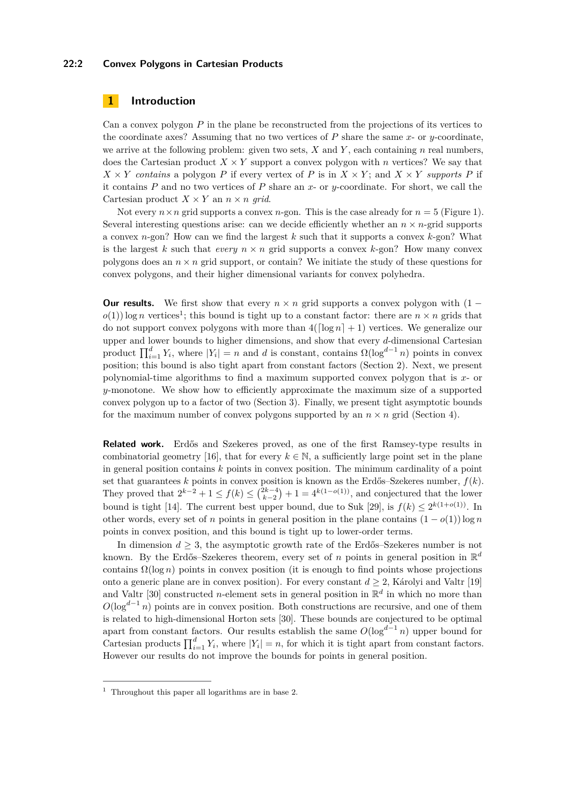#### **22:2 Convex Polygons in Cartesian Products**

# <span id="page-1-1"></span>**1 Introduction**

Can a convex polygon *P* in the plane be reconstructed from the projections of its vertices to the coordinate axes? Assuming that no two vertices of *P* share the same *x*- or *y*-coordinate, we arrive at the following problem: given two sets, *X* and *Y* , each containing *n* real numbers, does the Cartesian product  $X \times Y$  support a convex polygon with *n* vertices? We say that  $X \times Y$  *contains* a polygon *P* if every vertex of *P* is in  $X \times Y$ ; and  $X \times Y$  *supports P* if it contains *P* and no two vertices of *P* share an *x*- or *y*-coordinate. For short, we call the Cartesian product  $X \times Y$  an  $n \times n$  grid.

Not every  $n \times n$  grid supports a convex *n*-gon. This is the case already for  $n = 5$  (Figure [1\)](#page-3-0). Several interesting questions arise: can we decide efficiently whether an  $n \times n$ -grid supports a convex *n*-gon? How can we find the largest *k* such that it supports a convex *k*-gon? What is the largest *k* such that *every*  $n \times n$  grid supports a convex *k*-gon? How many convex polygons does an  $n \times n$  grid support, or contain? We initiate the study of these questions for convex polygons, and their higher dimensional variants for convex polyhedra.

**Our results.** We first show that every  $n \times n$  grid supports a convex polygon with  $(1 o(1)$  $o(1)$  $o(1)$  log *n* vertices<sup>1</sup>; this bound is tight up to a constant factor: there are  $n \times n$  grids that do not support convex polygons with more than  $4(\lceil \log n \rceil + 1)$  vertices. We generalize our upper and lower bounds to higher dimensions, and show that every *d*-dimensional Cartesian product  $\prod_{i=1}^{d} Y_i$ , where  $|Y_i| = n$  and *d* is constant, contains  $\Omega(\log^{d-1} n)$  points in convex position; this bound is also tight apart from constant factors (Section [2\)](#page-3-1). Next, we present polynomial-time algorithms to find a maximum supported convex polygon that is *x*- or *y*-monotone. We show how to efficiently approximate the maximum size of a supported convex polygon up to a factor of two (Section [3\)](#page-10-0). Finally, we present tight asymptotic bounds for the maximum number of convex polygons supported by an  $n \times n$  grid (Section [4\)](#page-12-0).

**Related work.** Erdős and Szekeres proved, as one of the first Ramsey-type results in combinatorial geometry [\[16\]](#page-15-0), that for every  $k \in \mathbb{N}$ , a sufficiently large point set in the plane in general position contains *k* points in convex position. The minimum cardinality of a point set that guarantees  $k$  points in convex position is known as the Erdős–Szekeres number,  $f(k)$ . They proved that  $2^{k-2} + 1 \le f(k) \le {2k-4 \choose k-2} + 1 = 4^{k(1-o(1))}$ , and conjectured that the lower bound is tight [\[14\]](#page-15-1). The current best upper bound, due to Suk [\[29\]](#page-16-1), is  $f(k) \leq 2^{k(1+o(1))}$ . In other words, every set of *n* points in general position in the plane contains  $(1 - o(1)) \log n$ points in convex position, and this bound is tight up to lower-order terms.

In dimension  $d \geq 3$ , the asymptotic growth rate of the Erdős–Szekeres number is not known. By the Erdős–Szekeres theorem, every set of *n* points in general position in R *d* contains  $\Omega(\log n)$  points in convex position (it is enough to find points whose projections onto a generic plane are in convex position). For every constant  $d \geq 2$ , Károlyi and Valtr [\[19\]](#page-15-2) and Valtr [\[30\]](#page-16-2) constructed *n*-element sets in general position in  $\mathbb{R}^d$  in which no more than  $O(\log^{d-1} n)$  points are in convex position. Both constructions are recursive, and one of them is related to high-dimensional Horton sets [\[30\]](#page-16-2). These bounds are conjectured to be optimal apart from constant factors. Our results establish the same  $O(\log^{d-1} n)$  upper bound for Cartesian products  $\prod_{i=1}^{d} Y_i$ , where  $|Y_i| = n$ , for which it is tight apart from constant factors. However our results do not improve the bounds for points in general position.

<span id="page-1-0"></span><sup>&</sup>lt;sup>1</sup> Throughout this paper all logarithms are in base 2.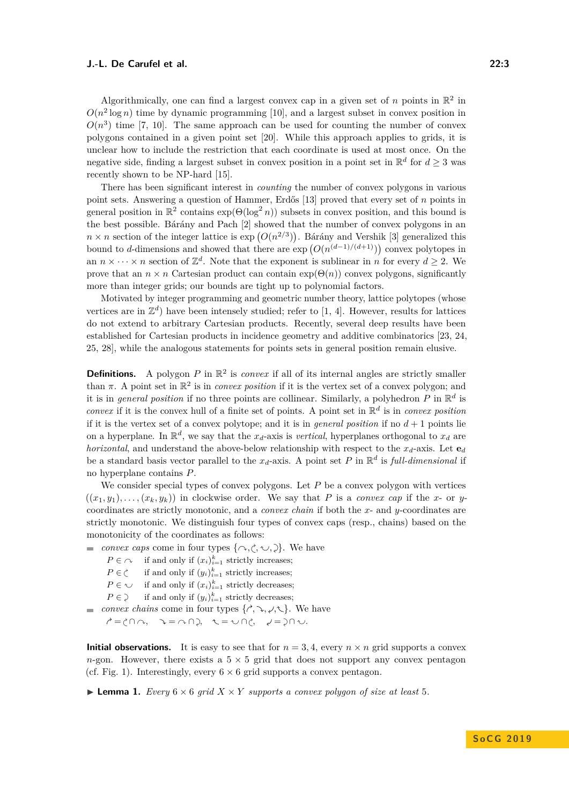Algorithmically, one can find a largest convex cap in a given set of *n* points in  $\mathbb{R}^2$  in  $O(n^2 \log n)$  time by dynamic programming [\[10\]](#page-15-3), and a largest subset in convex position in  $O(n^3)$  time [\[7,](#page-15-4) [10\]](#page-15-3). The same approach can be used for counting the number of convex polygons contained in a given point set [\[20\]](#page-15-5). While this approach applies to grids, it is unclear how to include the restriction that each coordinate is used at most once. On the negative side, finding a largest subset in convex position in a point set in  $\mathbb{R}^d$  for  $d \geq 3$  was recently shown to be NP-hard [\[15\]](#page-15-6).

There has been significant interest in *counting* the number of convex polygons in various point sets. Answering a question of Hammer, Erdős [\[13\]](#page-15-7) proved that every set of *n* points in general position in  $\mathbb{R}^2$  contains  $\exp(\Theta(\log^2 n))$  subsets in convex position, and this bound is the best possible. Bárány and Pach [\[2\]](#page-15-8) showed that the number of convex polygons in an  $n \times n$  section of the integer lattice is  $\exp(O(n^{2/3}))$ . Bárány and Vershik [\[3\]](#page-15-9) generalized this bound to *d*-dimensions and showed that there are  $\exp(O(n^{(d-1)/(d+1)}))$  convex polytopes in an  $n \times \cdots \times n$  section of  $\mathbb{Z}^d$ . Note that the exponent is sublinear in *n* for every  $d \geq 2$ . We prove that an  $n \times n$  Cartesian product can contain  $exp(\Theta(n))$  convex polygons, significantly more than integer grids; our bounds are tight up to polynomial factors.

Motivated by integer programming and geometric number theory, lattice polytopes (whose vertices are in  $\mathbb{Z}^d$ ) have been intensely studied; refer to [\[1,](#page-15-10) [4\]](#page-15-11). However, results for lattices do not extend to arbitrary Cartesian products. Recently, several deep results have been established for Cartesian products in incidence geometry and additive combinatorics [\[23,](#page-16-3) [24,](#page-16-4) [25,](#page-16-5) [28\]](#page-16-6), while the analogous statements for points sets in general position remain elusive.

**Definitions.** A polygon P in  $\mathbb{R}^2$  is *convex* if all of its internal angles are strictly smaller than  $\pi$ . A point set in  $\mathbb{R}^2$  is in *convex position* if it is the vertex set of a convex polygon; and it is in *general position* if no three points are collinear. Similarly, a polyhedron  $P$  in  $\mathbb{R}^d$  is *convex* if it is the convex hull of a finite set of points. A point set in  $\mathbb{R}^d$  is in *convex position* if it is the vertex set of a convex polytope; and it is in *general position* if no  $d+1$  points lie on a hyperplane. In  $\mathbb{R}^d$ , we say that the  $x_d$ -axis is *vertical*, hyperplanes orthogonal to  $x_d$  are *horizontal*, and understand the above-below relationship with respect to the  $x_d$ -axis. Let  $\mathbf{e}_d$ be a standard basis vector parallel to the  $x_d$ -axis. A point set P in  $\mathbb{R}^d$  is full-dimensional if no hyperplane contains *P*.

We consider special types of convex polygons. Let P be a convex polygon with vertices  $((x_1, y_1), \ldots, (x_k, y_k))$  in clockwise order. We say that *P* is a *convex cap* if the *x*- or *y*coordinates are strictly monotonic, and a *convex chain* if both the *x*- and *y*-coordinates are strictly monotonic. We distinguish four types of convex caps (resp., chains) based on the monotonicity of the coordinates as follows:

- *convex caps* come in four types  $\{\sim, \sim, \sim\}$ . We have
	- $P \in \cap$  if and only if  $(x_i)_{i=1}^k$  strictly increases;
	- $P \in \mathcal{C}$ if and only if  $(y_i)_{i=1}^k$  strictly increases;
	- $P \in \bigcup$  if and only if  $(x_i)_{i=1}^k$  strictly decreases;
	- $P \in \mathcal{Y}$ if and only if  $(y_i)_{i=1}^k$  strictly decreases;
- *convex chains* come in four types  $\{\hat{}}, \hat{}$ ,  $\hat{}$ ,  $\langle$ ,  $\hat{}$ ,  $\hat{}$ ). We have

 $\Rightarrow$   $\Rightarrow$   $\land$   $\Rightarrow$   $\land$   $\land$   $\Rightarrow$   $\land$   $\land$   $\Rightarrow$   $\land$   $\land$   $\Rightarrow$   $\land$   $\land$   $\Rightarrow$   $\land$   $\land$   $\Rightarrow$   $\land$   $\land$   $\Rightarrow$   $\land$   $\land$   $\Rightarrow$   $\land$   $\land$   $\Rightarrow$   $\land$   $\land$   $\land$   $\Rightarrow$   $\land$   $\land$   $\land$   $\Rightarrow$   $\land$   $\land$   $\land$   $\Rightarrow$   $\land$   $\land$   $\land$   $\Rightarrow$ 

**Initial observations.** It is easy to see that for  $n = 3, 4$ , every  $n \times n$  grid supports a convex *n*-gon. However, there exists a  $5 \times 5$  grid that does not support any convex pentagon (cf. Fig. [1\)](#page-3-0). Interestingly, every  $6 \times 6$  grid supports a convex pentagon.

**Example 1.** *Every*  $6 \times 6$  *grid*  $X \times Y$  *supports a convex polygon of size at least* 5*.*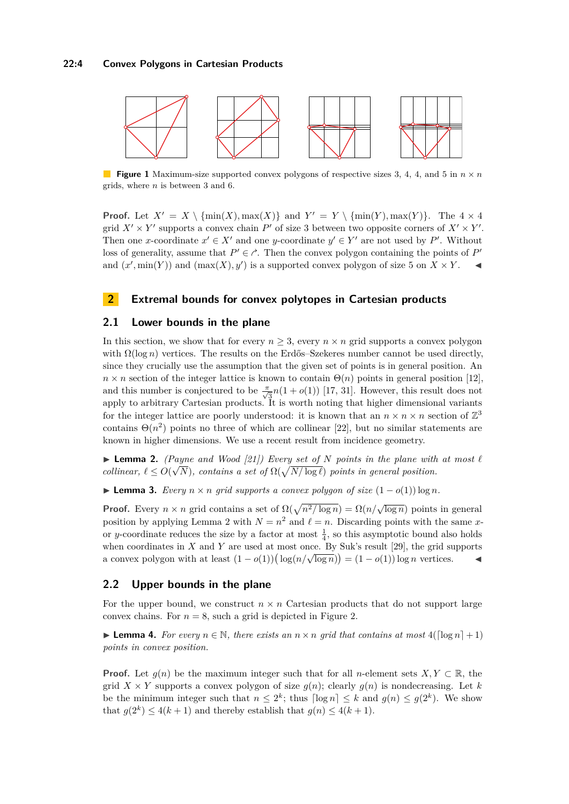#### **22:4 Convex Polygons in Cartesian Products**

<span id="page-3-0"></span>

**Figure 1** Maximum-size supported convex polygons of respective sizes 3, 4, 4, and 5 in  $n \times n$ grids, where *n* is between 3 and 6.

**Proof.** Let  $X' = X \setminus \{\min(X), \max(X)\}\$ and  $Y' = Y \setminus \{\min(Y), \max(Y)\}\$ . The  $4 \times 4$ grid  $X' \times Y'$  supports a convex chain  $P'$  of size 3 between two opposite corners of  $X' \times Y'$ . Then one *x*-coordinate  $x' \in X'$  and one *y*-coordinate  $y' \in Y'$  are not used by P'. Without loss of generality, assume that  $P' \in \mathcal{C}$ . Then the convex polygon containing the points of  $P'$ and  $(x', \min(Y))$  and  $(\max(X), y')$  is a supported convex polygon of size 5 on  $X \times Y$ .

# <span id="page-3-1"></span>**2 Extremal bounds for convex polytopes in Cartesian products**

#### <span id="page-3-4"></span>**2.1 Lower bounds in the plane**

In this section, we show that for every  $n \geq 3$ , every  $n \times n$  grid supports a convex polygon with  $\Omega(\log n)$  vertices. The results on the Erdős–Szekeres number cannot be used directly, since they crucially use the assumption that the given set of points is in general position. An  $n \times n$  section of the integer lattice is known to contain  $\Theta(n)$  points in general position [\[12\]](#page-15-12), and this number is conjectured to be  $\frac{\pi}{\sqrt{3}}n(1 + o(1))$  [\[17,](#page-15-13) [31\]](#page-16-7). However, this result does not apply to arbitrary Cartesian products. It is worth noting that higher dimensional variants for the integer lattice are poorly understood: it is known that an  $n \times n \times n$  section of  $\mathbb{Z}^3$ contains  $\Theta(n^2)$  points no three of which are collinear [\[22\]](#page-15-14), but no similar statements are known in higher dimensions. We use a recent result from incidence geometry.

<span id="page-3-2"></span>▶ **Lemma 2.** *(Payne and Wood [\[21\]](#page-15-15)) Every set of N points in the plane with at most*  $\ell$ *collinear,*  $\ell \leq O(\sqrt{N})$ *, contains a set of*  $\Omega(\sqrt{N/\log \ell})$  *points in general position.* 

<span id="page-3-5"></span>**► Lemma 3.** *Every*  $n \times n$  *grid supports a convex polygon of size*  $(1 - o(1)) \log n$ *.* 

**Proof.** Every  $n \times n$  grid contains a set of  $\Omega(\sqrt{n^2/\log n}) = \Omega(n/\sqrt{\log n})$  points in general position by applying Lemma [2](#page-3-2) with  $N = n^2$  and  $\ell = n$ . Discarding points with the same *x*or *y*-coordinate reduces the size by a factor at most  $\frac{1}{4}$ , so this asymptotic bound also holds when coordinates in *X* and *Y* are used at most once. By Suk's result [\[29\]](#page-16-1), the grid supports when coordinates in A and T are used at most once. By Suk s result [25], the grid supports a convex polygon with at least  $(1 - o(1))(\log(n/\sqrt{\log n})) = (1 - o(1))\log n$  vertices. <br>
►

#### **2.2 Upper bounds in the plane**

For the upper bound, we construct  $n \times n$  Cartesian products that do not support large convex chains. For  $n = 8$ , such a grid is depicted in Figure [2.](#page-4-0)

<span id="page-3-3"></span>**Lemma 4.** For every  $n \in \mathbb{N}$ , there exists an  $n \times n$  grid that contains at most  $4(\lceil \log n \rceil + 1)$ *points in convex position.*

**Proof.** Let  $g(n)$  be the maximum integer such that for all *n*-element sets *X,Y* ⊂ R, the grid *X* × *Y* supports a convex polygon of size  $g(n)$ ; clearly  $g(n)$  is nondecreasing. Let *k* be the minimum integer such that  $n \leq 2^k$ ; thus  $\lceil \log n \rceil \leq k$  and  $g(n) \leq g(2^k)$ . We show that  $g(2^k) \leq 4(k+1)$  and thereby establish that  $g(n) \leq 4(k+1)$ .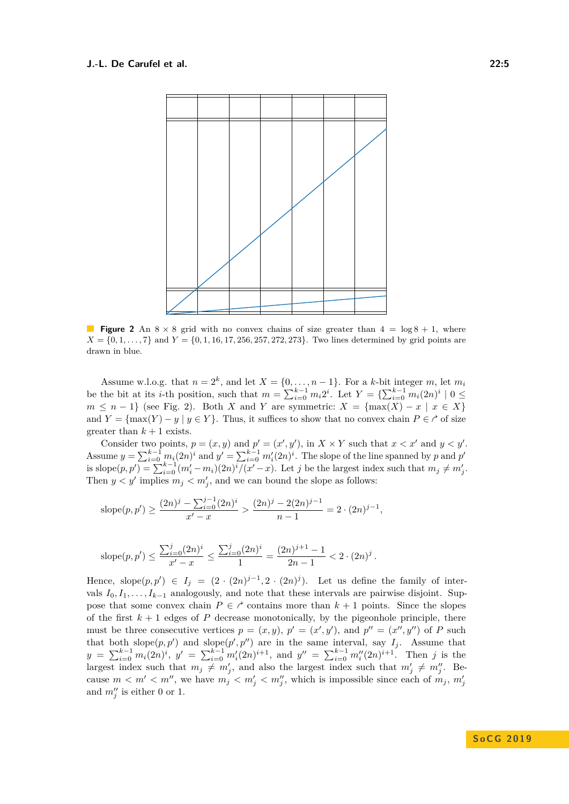<span id="page-4-0"></span>

**Figure 2** An  $8 \times 8$  grid with no convex chains of size greater than  $4 = \log 8 + 1$ , where  $X = \{0, 1, \ldots, 7\}$  and  $Y = \{0, 1, 16, 17, 256, 257, 272, 273\}$ . Two lines determined by grid points are drawn in blue.

Assume w.l.o.g. that  $n = 2^k$ , and let  $X = \{0, \ldots, n-1\}$ . For a *k*-bit integer *m*, let  $m_i$ be the bit at its *i*-th position, such that  $m = \sum_{i=0}^{k-1} m_i 2^i$ . Let  $Y = \{ \sum_{i=0}^{k-1} m_i (2n)^i \mid 0 \leq$  $m \leq n-1$  (see Fig. [2\)](#page-4-0). Both *X* and *Y* are symmetric:  $X = \{ \max(X) - x \mid x \in X \}$ and  $Y = \{ \max(Y) - y \mid y \in Y \}$ . Thus, it suffices to show that no convex chain  $P \in \mathcal{C}$  of size greater than  $k+1$  exists.

Consider two points,  $p = (x, y)$  and  $p' = (x', y')$ , in  $X \times Y$  such that  $x < x'$  and  $y < y'$ . Assume  $y = \sum_{i=0}^{k-1} m_i(2n)^i$  and  $y' = \sum_{i=0}^{k-1} m_i'(2n)^i$ . The slope of the line spanned by *p* and *p*' is slope $(p, p') = \sum_{i=0}^{k-1} (m'_i - m_i)(2n)^i / (x' - x)$ . Let *j* be the largest index such that  $m_j \neq m'_j$ . Then  $y < y'$  implies  $m_j < m'_j$ , and we can bound the slope as follows:

slope
$$
(p, p') \ge \frac{(2n)^j - \sum_{i=0}^{j-1} (2n)^i}{x'-x} > \frac{(2n)^j - 2(2n)^{j-1}}{n-1} = 2 \cdot (2n)^{j-1},
$$

slope
$$
(p, p') \le \frac{\sum_{i=0}^{j} (2n)^i}{x'-x} \le \frac{\sum_{i=0}^{j} (2n)^i}{1} = \frac{(2n)^{j+1}-1}{2n-1} < 2 \cdot (2n)^j
$$
.

Hence, slope $(p, p') \in I_j = (2 \cdot (2n)^{j-1}, 2 \cdot (2n)^j)$ . Let us define the family of intervals  $I_0, I_1, \ldots, I_{k-1}$  analogously, and note that these intervals are pairwise disjoint. Suppose that some convex chain  $P \in \mathcal{C}$  contains more than  $k+1$  points. Since the slopes of the first  $k+1$  edges of P decrease monotonically, by the pigeonhole principle, there must be three consecutive vertices  $p = (x, y), p' = (x', y')$ , and  $p'' = (x'', y'')$  of *P* such that both slope $(p, p')$  and slope $(p', p'')$  are in the same interval, say  $I_j$ . Assume that  $y = \sum_{i=0}^{k-1} m_i(2n)^i$ ,  $y' = \sum_{i=0}^{k-1} m'_i(2n)^{i+1}$ , and  $y'' = \sum_{i=0}^{k-1} m''_i(2n)^{i+1}$ . Then j is the largest index such that  $m_j \neq m'_j$ , and also the largest index such that  $m'_j \neq m''_j$ . Because  $m < m' < m''$ , we have  $m_j < m'_j < m''_j$ , which is impossible since each of  $m_j$ ,  $m'_j$ and  $m''_j$  is either 0 or 1.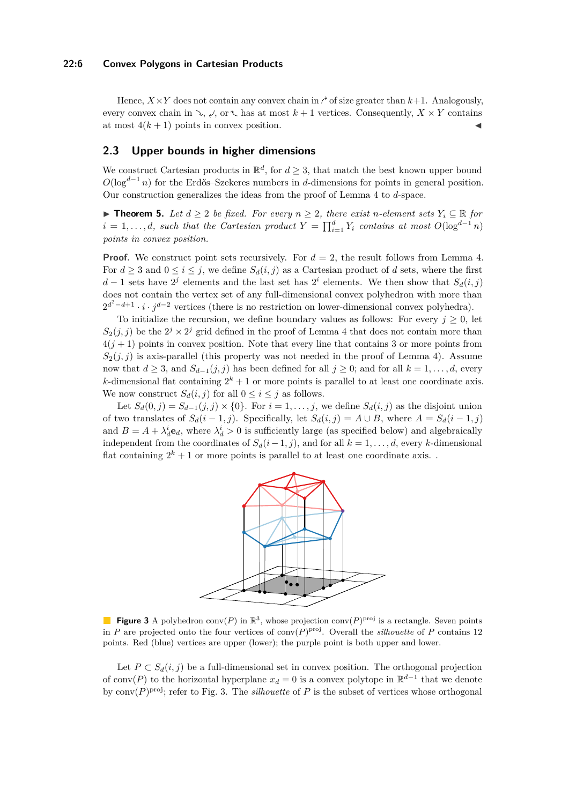#### **22:6 Convex Polygons in Cartesian Products**

Hence,  $X \times Y$  does not contain any convex chain in  $\gamma$  of size greater than  $k+1$ . Analogously, every convex chain in  $\searrow$ ,  $\swarrow$ , or  $\nwarrow$  has at most  $k+1$  vertices. Consequently,  $X \times Y$  contains at most  $4(k+1)$  points in convex position.

# **2.3 Upper bounds in higher dimensions**

We construct Cartesian products in  $\mathbb{R}^d$ , for  $d \geq 3$ , that match the best known upper bound *O*(log<sup>*d*−1</sup> *n*) for the Erdős–Szekeres numbers in *d*-dimensions for points in general position. Our construction generalizes the ideas from the proof of Lemma [4](#page-3-3) to *d*-space.

▶ **Theorem 5.** *Let*  $d \geq 2$  *be fixed. For every*  $n \geq 2$ *, there exist n*-element sets  $Y_i \subseteq \mathbb{R}$  for  $i = 1, \ldots, d$ , such that the Cartesian product  $Y = \prod_{i=1}^{d} Y_i$  contains at most  $O(\log^{d-1} n)$ *points in convex position.*

**Proof.** We construct point sets recursively. For  $d = 2$ , the result follows from Lemma [4.](#page-3-3) For  $d > 3$  and  $0 \le i \le j$ , we define  $S_d(i, j)$  as a Cartesian product of d sets, where the first *d* − 1 sets have  $2^{j}$  elements and the last set has  $2^{i}$  elements. We then show that  $S_d(i, j)$ does not contain the vertex set of any full-dimensional convex polyhedron with more than  $2^{d^2-d+1} \cdot i \cdot j^{d-2}$  vertices (there is no restriction on lower-dimensional convex polyhedra).

To initialize the recursion, we define boundary values as follows: For every  $j \geq 0$ , let  $S_2(j, j)$  be the  $2^j \times 2^j$  grid defined in the proof of Lemma [4](#page-3-3) that does not contain more than  $4(j + 1)$  points in convex position. Note that every line that contains 3 or more points from  $S_2(j, j)$  is axis-parallel (this property was not needed in the proof of Lemma [4\)](#page-3-3). Assume now that  $d \geq 3$ , and  $S_{d-1}(j, j)$  has been defined for all  $j \geq 0$ ; and for all  $k = 1, \ldots, d$ , every *k*-dimensional flat containing  $2^k + 1$  or more points is parallel to at least one coordinate axis. We now construct  $S_d(i, j)$  for all  $0 \leq i \leq j$  as follows.

<span id="page-5-0"></span>Let  $S_d(0, j) = S_{d-1}(j, j) \times \{0\}$ . For  $i = 1, \ldots, j$ , we define  $S_d(i, j)$  as the disjoint union of two translates of  $S_d(i-1, j)$ . Specifically, let  $S_d(i, j) = A \cup B$ , where  $A = S_d(i-1, j)$ and  $B = A + \lambda_d^i \mathbf{e}_d$ , where  $\lambda_d^i > 0$  is sufficiently large (as specified below) and algebraically independent from the coordinates of  $S_d(i-1, j)$ , and for all  $k = 1, \ldots, d$ , every *k*-dimensional flat containing  $2^k + 1$  or more points is parallel to at least one coordinate axis.



**Figure 3** A polyhedron conv(P) in  $\mathbb{R}^3$ , whose projection conv(P)<sup>proj</sup> is a rectangle. Seven points in *P* are projected onto the four vertices of conv $(P)^{proj}$ . Overall the *silhouette* of *P* contains 12 points. Red (blue) vertices are upper (lower); the purple point is both upper and lower.

Let  $P \subset S_d(i, j)$  be a full-dimensional set in convex position. The orthogonal projection of conv $(P)$  to the horizontal hyperplane  $x_d = 0$  is a convex polytope in  $\mathbb{R}^{d-1}$  that we denote by  $\text{conv}(P)^\text{proj}$ ; refer to Fig. [3.](#page-5-0) The *silhouette* of *P* is the subset of vertices whose orthogonal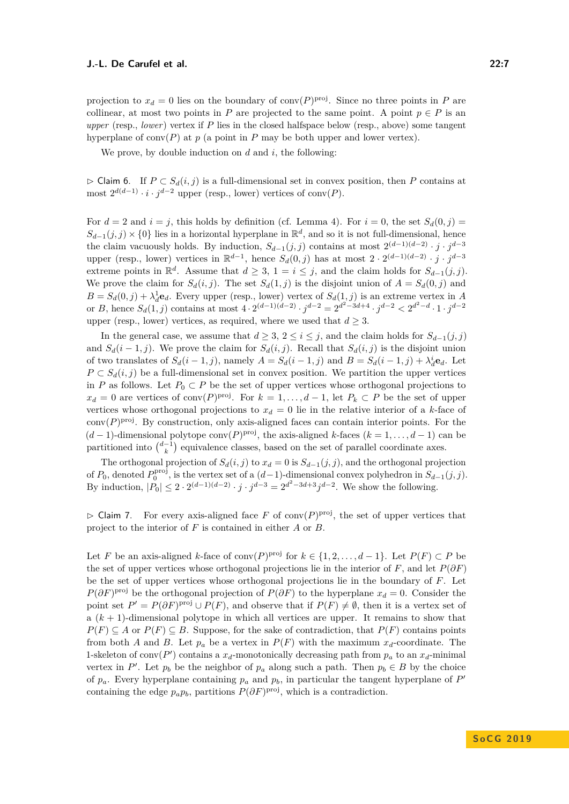projection to  $x_d = 0$  lies on the boundary of conv $(P)^{proj}$ . Since no three points in *P* are collinear, at most two points in *P* are projected to the same point. A point  $p \in P$  is an *upper* (resp., *lower*) vertex if *P* lies in the closed halfspace below (resp., above) some tangent hyperplane of  $conv(P)$  at  $p$  (a point in  $P$  may be both upper and lower vertex).

We prove, by double induction on *d* and *i*, the following:

<span id="page-6-0"></span> $\triangleright$  Claim 6. If *P* ⊂ *S*<sup>*d*</sup>(*i, j*) is a full-dimensional set in convex position, then *P* contains at most  $2^{d(d-1)} \cdot i \cdot j^{d-2}$  upper (resp., lower) vertices of conv(*P*).

For  $d = 2$  and  $i = j$ , this holds by definition (cf. Lemma [4\)](#page-3-3). For  $i = 0$ , the set  $S_d(0, j)$  $S_{d-1}(j, j) \times \{0\}$  lies in a horizontal hyperplane in  $\mathbb{R}^d$ , and so it is not full-dimensional, hence the claim vacuously holds. By induction,  $S_{d-1}(j, j)$  contains at most  $2^{(d-1)(d-2)} \cdot j \cdot j^{d-3}$ upper (resp., lower) vertices in  $\mathbb{R}^{d-1}$ , hence  $S_d(0,j)$  has at most  $2 \cdot 2^{(d-1)(d-2)} \cdot j \cdot j^{d-3}$ extreme points in  $\mathbb{R}^d$ . Assume that  $d \geq 3$ ,  $1 = i \leq j$ , and the claim holds for  $S_{d-1}(j, j)$ . We prove the claim for  $S_d(i, j)$ . The set  $S_d(1, j)$  is the disjoint union of  $A = S_d(0, j)$  and  $B = S_d(0, j) + \lambda_d^1 \mathbf{e}_d$ . Every upper (resp., lower) vertex of  $S_d(1, j)$  is an extreme vertex in *A* or *B*, hence  $S_d(1, j)$  contains at most  $4 \cdot 2^{(d-1)(d-2)} \cdot j^{d-2} = 2^{d^2 - 3d + 4} \cdot j^{d-2} < 2^{d^2 - d} \cdot 1 \cdot j^{d-2}$ upper (resp., lower) vertices, as required, where we used that  $d \geq 3$ .

In the general case, we assume that  $d \geq 3$ ,  $2 \leq i \leq j$ , and the claim holds for  $S_{d-1}(j, j)$ and  $S_d(i-1,j)$ . We prove the claim for  $S_d(i,j)$ . Recall that  $S_d(i,j)$  is the disjoint union of two translates of  $S_d(i-1,j)$ , namely  $A = S_d(i-1,j)$  and  $B = S_d(i-1,j) + \lambda_d^i \mathbf{e}_d$ . Let *P* ⊂  $S_d(i, j)$  be a full-dimensional set in convex position. We partition the upper vertices in *P* as follows. Let  $P_0 \subset P$  be the set of upper vertices whose orthogonal projections to  $x_d = 0$  are vertices of conv $(P)$ <sup>proj</sup>. For  $k = 1, \ldots, d-1$ , let  $P_k \subset P$  be the set of upper vertices whose orthogonal projections to  $x_d = 0$  lie in the relative interior of a *k*-face of  $conv(P)^{proj}$ . By construction, only axis-aligned faces can contain interior points. For the  $(d-1)$ -dimensional polytope conv $(P)$ <sup>proj</sup>, the axis-aligned *k*-faces  $(k = 1, ..., d - 1)$  can be partitioned into  $\binom{d-1}{k}$  equivalence classes, based on the set of parallel coordinate axes.

The orthogonal projection of  $S_d(i, j)$  to  $x_d = 0$  is  $S_{d-1}(j, j)$ , and the orthogonal projection of  $P_0$ , denoted  $P_0^{\text{proj}}$ , is the vertex set of a  $(d-1)$ -dimensional convex polyhedron in  $S_{d-1}(j, j)$ . By induction,  $|P_0| \leq 2 \cdot 2^{(d-1)(d-2)} \cdot j \cdot j^{d-3} = 2^{d^2 - 3d + 3} j^{d-2}$ . We show the following.

 $\triangleright$  Claim 7. For every axis-aligned face *F* of conv $(P)^{proj}$ , the set of upper vertices that project to the interior of *F* is contained in either *A* or *B*.

Let *F* be an axis-aligned *k*-face of conv $(P)$ <sup>proj</sup> for  $k \in \{1, 2, ..., d-1\}$ . Let  $P(F) \subset P$  be the set of upper vertices whose orthogonal projections lie in the interior of  $F$ , and let  $P(\partial F)$ be the set of upper vertices whose orthogonal projections lie in the boundary of *F*. Let  $P(\partial F)$ <sup>proj</sup> be the orthogonal projection of  $P(\partial F)$  to the hyperplane  $x_d = 0$ . Consider the point set  $P' = P(\partial F)^{\text{proj}} \cup P(F)$ , and observe that if  $P(F) \neq \emptyset$ , then it is a vertex set of a  $(k+1)$ -dimensional polytope in which all vertices are upper. It remains to show that *P*(*F*) ⊆ *A* or *P*(*F*) ⊆ *B*. Suppose, for the sake of contradiction, that *P*(*F*) contains points from both *A* and *B*. Let  $p_a$  be a vertex in  $P(F)$  with the maximum  $x_d$ -coordinate. The 1-skeleton of conv $(P')$  contains a  $x_d$ -monotonically decreasing path from  $p_a$  to an  $x_d$ -minimal vertex in *P*'. Let  $p_b$  be the neighbor of  $p_a$  along such a path. Then  $p_b \in B$  by the choice of  $p_a$ . Every hyperplane containing  $p_a$  and  $p_b$ , in particular the tangent hyperplane of  $P'$ containing the edge  $p_a p_b$ , partitions  $P(\partial F)^{\text{proj}}$ , which is a contradiction.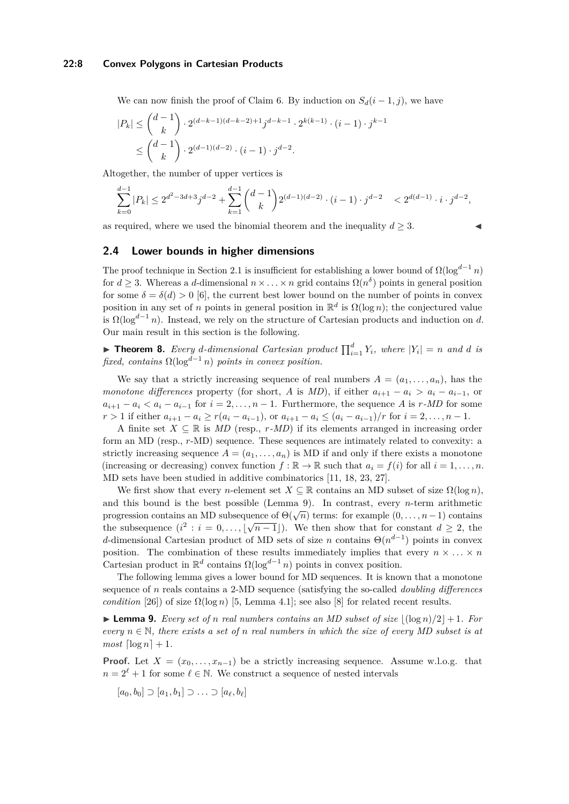#### **22:8 Convex Polygons in Cartesian Products**

We can now finish the proof of Claim [6.](#page-6-0) By induction on  $S_d(i-1, j)$ , we have

$$
|P_k| \le \binom{d-1}{k} \cdot 2^{(d-k-1)(d-k-2)+1} j^{d-k-1} \cdot 2^{k(k-1)} \cdot (i-1) \cdot j^{k-1}
$$
  

$$
\le \binom{d-1}{k} \cdot 2^{(d-1)(d-2)} \cdot (i-1) \cdot j^{d-2}.
$$

Altogether, the number of upper vertices is

$$
\sum_{k=0}^{d-1} |P_k| \leq 2^{d^2-3d+3}j^{d-2} + \sum_{k=1}^{d-1} \binom{d-1}{k} 2^{(d-1)(d-2)} \cdot (i-1) \cdot j^{d-2} \\ < 2^{d(d-1)} \cdot i \cdot j^{d-2},
$$

as required, where we used the binomial theorem and the inequality  $d \geq 3$ .

#### **2.4 Lower bounds in higher dimensions**

The proof technique in Section [2.1](#page-3-4) is insufficient for establishing a lower bound of  $\Omega(\log^{d-1} n)$ for  $d \geq 3$ . Whereas a *d*-dimensional  $n \times \ldots \times n$  grid contains  $\Omega(n^{\delta})$  points in general position for some  $\delta = \delta(d) > 0$  [\[6\]](#page-15-16), the current best lower bound on the number of points in convex position in any set of *n* points in general position in  $\mathbb{R}^d$  is  $\Omega(\log n)$ ; the conjectured value is  $\Omega(\log^{d-1} n)$ . Instead, we rely on the structure of Cartesian products and induction on *d*. Our main result in this section is the following.

<span id="page-7-1"></span> $\blacktriangleright$  **Theorem 8.** Every d-dimensional Cartesian product  $\prod_{i=1}^{d} Y_i$ , where  $|Y_i| = n$  and d is *fixed, contains*  $\Omega(\log^{d-1} n)$  *points in convex position.* 

We say that a strictly increasing sequence of real numbers  $A = (a_1, \ldots, a_n)$ , has the *monotone differences* property (for short, *A* is *MD*), if either  $a_{i+1} - a_i > a_i - a_{i-1}$ , or  $a_{i+1} - a_i < a_i - a_{i-1}$  for  $i = 2, \ldots, n-1$ . Furthermore, the sequence *A* is *r*-*MD* for some  $r > 1$  if either  $a_{i+1} - a_i \ge r(a_i - a_{i-1})$ , or  $a_{i+1} - a_i \le (a_i - a_{i-1})/r$  for  $i = 2, ..., n-1$ .

A finite set  $X \subseteq \mathbb{R}$  is *MD* (resp., *r-MD*) if its elements arranged in increasing order form an MD (resp., *r*-MD) sequence. These sequences are intimately related to convexity: a strictly increasing sequence  $A = (a_1, \ldots, a_n)$  is MD if and only if there exists a monotone (increasing or decreasing) convex function  $f : \mathbb{R} \to \mathbb{R}$  such that  $a_i = f(i)$  for all  $i = 1, \ldots, n$ . MD sets have been studied in additive combinatorics [\[11,](#page-15-17) [18,](#page-15-18) [23,](#page-16-3) [27\]](#page-16-8).

We first show that every *n*-element set  $X \subseteq \mathbb{R}$  contains an MD subset of size  $\Omega(\log n)$ , and this bound is the best possible (Lemma [9\)](#page-7-0). In contrast, every *n*-term arithmetic progression contains an MD subsequence of  $\Theta(\sqrt{n})$  terms: for example  $(0, \ldots, n-1)$  contains the subsequence  $(i^2 : i = 0, \ldots, |\sqrt{n-1}|)$ . We then show that for constant  $d \geq 2$ , the *d*-dimensional Cartesian product of MD sets of size *n* contains  $\Theta(n^{d-1})$  points in convex position. The combination of these results immediately implies that every  $n \times \ldots \times n$ Cartesian product in  $\mathbb{R}^d$  contains  $\Omega(\log^{d-1} n)$  points in convex position.

The following lemma gives a lower bound for MD sequences. It is known that a monotone sequence of *n* reals contains a 2-MD sequence (satisfying the so-called *doubling differences condition* [\[26\]](#page-16-9)) of size  $\Omega(\log n)$  [\[5,](#page-15-19) Lemma 4.1]; see also [\[8\]](#page-15-20) for related recent results.

<span id="page-7-0"></span>**Lemma 9.** Every set of *n* real numbers contains an MD subset of size  $\left| \frac{\log n}{2} \right| + 1$ . For *every*  $n \in \mathbb{N}$ , there exists a set of *n* real numbers in which the size of every MD subset is at  $most \left\lceil \log n \right\rceil + 1.$ 

**Proof.** Let  $X = (x_0, \ldots, x_{n-1})$  be a strictly increasing sequence. Assume w.l.o.g. that  $n = 2^{\ell} + 1$  for some  $\ell \in \mathbb{N}$ . We construct a sequence of nested intervals

$$
[a_0,b_0] \supset [a_1,b_1] \supset \ldots \supset [a_\ell,b_\ell]
$$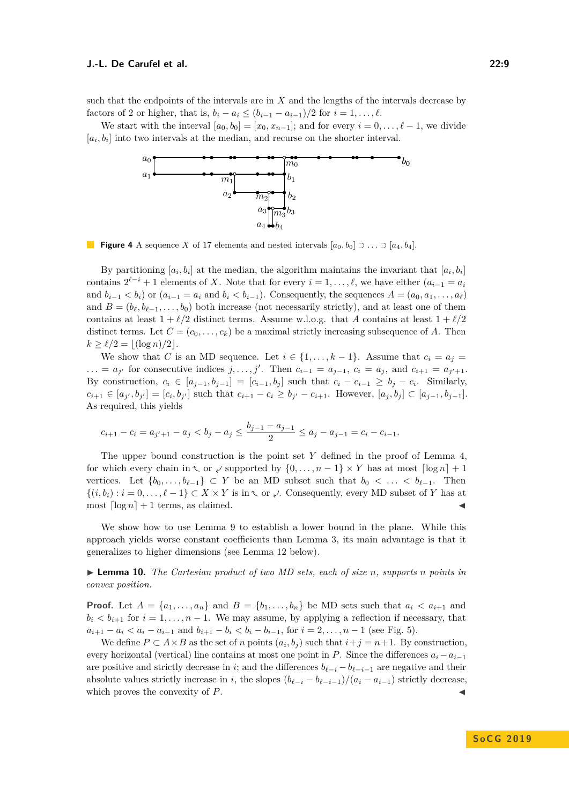such that the endpoints of the intervals are in *X* and the lengths of the intervals decrease by factors of 2 or higher, that is,  $b_i - a_i \le (b_{i-1} - a_{i-1})/2$  for  $i = 1, ..., \ell$ .

We start with the interval  $[a_0, b_0] = [x_0, x_{n-1}]$ ; and for every  $i = 0, \ldots, \ell - 1$ , we divide  $[a_i, b_i]$  into two intervals at the median, and recurse on the shorter interval.



**Figure 4** A sequence *X* of 17 elements and nested intervals  $[a_0, b_0] \supset \ldots \supset [a_4, b_4]$ .

By partitioning  $[a_i, b_i]$  at the median, the algorithm maintains the invariant that  $[a_i, b_i]$ contains  $2^{\ell-i} + 1$  elements of *X*. Note that for every  $i = 1, \ldots, \ell$ , we have either  $(a_{i-1} = a_i)$ and  $b_{i-1} < b_i$  or  $(a_{i-1} = a_i \text{ and } b_i < b_{i-1})$ . Consequently, the sequences  $A = (a_0, a_1, \ldots, a_\ell)$ and  $B = (b_{\ell}, b_{\ell-1}, \ldots, b_0)$  both increase (not necessarily strictly), and at least one of them contains at least  $1 + \ell/2$  distinct terms. Assume w.l.o.g. that *A* contains at least  $1 + \ell/2$ distinct terms. Let  $C = (c_0, \ldots, c_k)$  be a maximal strictly increasing subsequence of A. Then  $k \ge \ell/2 = |(\log n)/2|$ .

We show that *C* is an MD sequence. Let  $i \in \{1, \ldots, k-1\}$ . Assume that  $c_i = a_j$  $\ldots = a_{j'}$  for consecutive indices  $j, \ldots, j'$ . Then  $c_{i-1} = a_{j-1}, c_i = a_j$ , and  $c_{i+1} = a_{j'+1}$ . By construction,  $c_i \in [a_{j-1}, b_{j-1}] = [c_{i-1}, b_j]$  such that  $c_i - c_{i-1} \geq b_j - c_i$ . Similarly,  $c_{i+1} \in [a_{j'}, b_{j'}] = [c_i, b_{j'}]$  such that  $c_{i+1} - c_i \ge b_{j'} - c_{i+1}$ . However,  $[a_j, b_j] \subset [a_{j-1}, b_{j-1}]$ . As required, this yields

$$
c_{i+1} - c_i = a_{j'+1} - a_j < b_j - a_j \le \frac{b_{j-1} - a_{j-1}}{2} \le a_j - a_{j-1} = c_i - c_{i-1}.
$$

The upper bound construction is the point set *Y* defined in the proof of Lemma [4,](#page-3-3) for which every chain in  $\setminus$  or  $\lessdot$  supported by  $\{0, \ldots, n-1\} \times Y$  has at most  $\lceil \log n \rceil + 1$ vertices. Let  $\{b_0, \ldots, b_{\ell-1}\} \subset Y$  be an MD subset such that  $b_0 < \ldots < b_{\ell-1}$ . Then  $\{(i, b_i) : i = 0, \ldots, \ell - 1\} \subset X \times Y$  is in  $\setminus$  or  $\downarrow$ . Consequently, every MD subset of *Y* has at most  $\lceil \log n \rceil + 1$  terms, as claimed.

We show how to use Lemma [9](#page-7-0) to establish a lower bound in the plane. While this approach yields worse constant coefficients than Lemma [3,](#page-3-5) its main advantage is that it generalizes to higher dimensions (see Lemma [12](#page-10-1) below).

<span id="page-8-0"></span>I **Lemma 10.** *The Cartesian product of two MD sets, each of size n, supports n points in convex position.*

**Proof.** Let  $A = \{a_1, \ldots, a_n\}$  and  $B = \{b_1, \ldots, b_n\}$  be MD sets such that  $a_i < a_{i+1}$  and  $b_i < b_{i+1}$  for  $i = 1, \ldots, n-1$ . We may assume, by applying a reflection if necessary, that  $a_{i+1} - a_i < a_i - a_{i-1}$  and  $b_{i+1} - b_i < b_i - b_{i-1}$ , for  $i = 2, \ldots, n-1$  (see Fig. [5\)](#page-9-0).

We define  $P \subset A \times B$  as the set of *n* points  $(a_i, b_j)$  such that  $i+j = n+1$ . By construction, every horizontal (vertical) line contains at most one point in *P*. Since the differences  $a_i - a_{i-1}$ are positive and strictly decrease in *i*; and the differences  $b_{\ell-i} - b_{\ell-i-1}$  are negative and their absolute values strictly increase in *i*, the slopes  $(b_{\ell-i} - b_{\ell-i-1})/(a_i - a_{i-1})$  strictly decrease, which proves the convexity of P.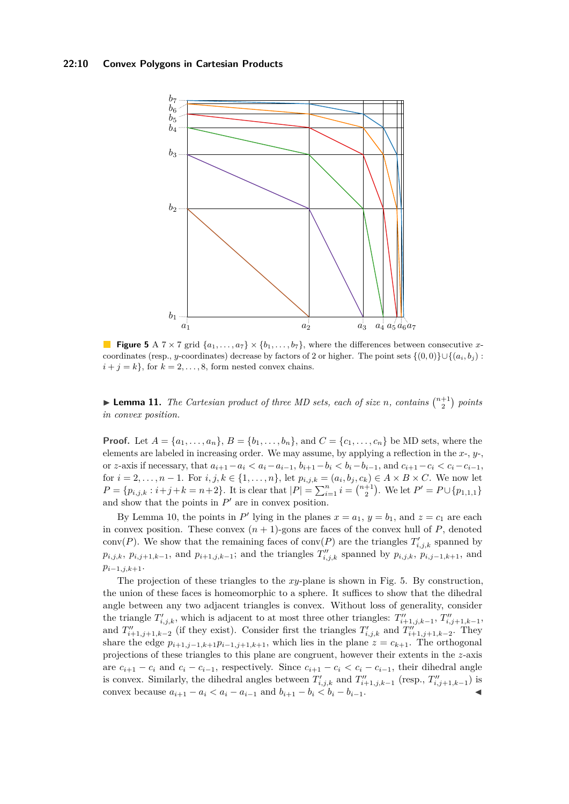#### **22:10 Convex Polygons in Cartesian Products**

<span id="page-9-0"></span>

**Figure 5** A  $7 \times 7$  grid  $\{a_1, \ldots, a_7\} \times \{b_1, \ldots, b_7\}$ , where the differences between consecutive *x*coordinates (resp., *y*-coordinates) decrease by factors of 2 or higher. The point sets  $\{(0,0)\}\cup\{(a_i,b_i):$  $i + j = k$ , for  $k = 2, \ldots, 8$ , form nested convex chains.

<span id="page-9-1"></span>**Example 11.** The Cartesian product of three MD sets, each of size *n*, contains  $\binom{n+1}{2}$  points *in convex position.*

**Proof.** Let  $A = \{a_1, \ldots, a_n\}$ ,  $B = \{b_1, \ldots, b_n\}$ , and  $C = \{c_1, \ldots, c_n\}$  be MD sets, where the elements are labeled in increasing order. We may assume, by applying a reflection in the *x*-, *y*-, or z-axis if necessary, that  $a_{i+1} - a_i < a_i - a_{i-1}$ ,  $b_{i+1} - b_i < b_i - b_{i-1}$ , and  $c_{i+1} - c_i < c_i - c_{i-1}$ , for  $i = 2, ..., n − 1$ . For  $i, j, k ∈ {1, ..., n}$ , let  $p_{i,j,k} = (a_i, b_j, c_k) ∈ A × B × C$ . We now let  $P = \{p_{i,j,k} : i+j+k = n+2\}$ . It is clear that  $|P| = \sum_{i=1}^{n} i = \binom{n+1}{2}$ . We let  $P' = P \cup \{p_{1,1,1}\}$ and show that the points in  $P'$  are in convex position.

By Lemma [10,](#page-8-0) the points in P' lying in the planes  $x = a_1$ ,  $y = b_1$ , and  $z = c_1$  are each in convex position. These convex  $(n + 1)$ -gons are faces of the convex hull of  $P$ , denoted conv(*P*). We show that the remaining faces of conv(*P*) are the triangles  $T'_{i,j,k}$  spanned by  $p_{i,j,k}$ ,  $p_{i,j+1,k-1}$ , and  $p_{i+1,j,k-1}$ ; and the triangles  $T''_{i,j,k}$  spanned by  $p_{i,j,k}$ ,  $p_{i,j-1,k+1}$ , and *pi*−1*,j,k*+1.

The projection of these triangles to the *xy*-plane is shown in Fig. [5.](#page-9-0) By construction, the union of these faces is homeomorphic to a sphere. It suffices to show that the dihedral angle between any two adjacent triangles is convex. Without loss of generality, consider the triangle  $T'_{i,j,k}$ , which is adjacent to at most three other triangles:  $T''_{i+1,j,k-1}$ ,  $T''_{i,j+1,k-1}$ , and  $T''_{i+1,j+1,k-2}$  (if they exist). Consider first the triangles  $T'_{i,j,k}$  and  $T''_{i+1,j+1,k-2}$ . They share the edge  $p_{i+1,j-1,k+1}p_{i-1,j+1,k+1}$ , which lies in the plane  $z = c_{k+1}$ . The orthogonal projections of these triangles to this plane are congruent, however their extents in the *z*-axis are  $c_{i+1} - c_i$  and  $c_i - c_{i-1}$ , respectively. Since  $c_{i+1} - c_i < c_i - c_{i-1}$ , their dihedral angle is convex. Similarly, the dihedral angles between  $T'_{i,j,k}$  and  $T''_{i+1,j,k-1}$  (resp.,  $T''_{i,j+1,k-1}$ ) is convex because  $a_{i+1} - a_i < a_i - a_{i-1}$  and  $b_{i+1} - b_i < b_i - b_{i-1}$ .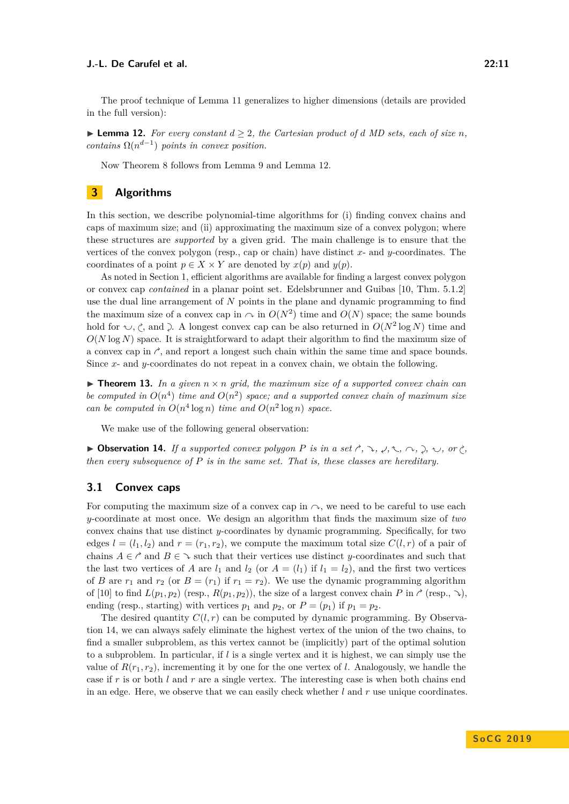The proof technique of Lemma [11](#page-9-1) generalizes to higher dimensions (details are provided in the full version):

<span id="page-10-1"></span>▶ **Lemma 12.** *For every constant*  $d \geq 2$ *, the Cartesian product of d MD sets, each of size n, contains*  $\Omega(n^{d-1})$  *points in convex position.* 

Now Theorem [8](#page-7-1) follows from Lemma [9](#page-7-0) and Lemma [12.](#page-10-1)

# <span id="page-10-0"></span>**3 Algorithms**

In this section, we describe polynomial-time algorithms for (i) finding convex chains and caps of maximum size; and (ii) approximating the maximum size of a convex polygon; where these structures are *supported* by a given grid. The main challenge is to ensure that the vertices of the convex polygon (resp., cap or chain) have distinct *x*- and *y*-coordinates. The coordinates of a point  $p \in X \times Y$  are denoted by  $x(p)$  and  $y(p)$ .

As noted in Section [1,](#page-1-1) efficient algorithms are available for finding a largest convex polygon or convex cap *contained* in a planar point set. Edelsbrunner and Guibas [\[10,](#page-15-3) Thm. 5.1.2] use the dual line arrangement of *N* points in the plane and dynamic programming to find the maximum size of a convex cap in  $\sim$  in  $O(N^2)$  time and  $O(N)$  space; the same bounds hold for  $\sim$ ,  $\zeta$ , and  $\gtrsim$ . A longest convex cap can be also returned in  $O(N^2 \log N)$  time and  $O(N \log N)$  space. It is straightforward to adapt their algorithm to find the maximum size of a convex cap in  $\gamma$ , and report a longest such chain within the same time and space bounds. Since *x*- and *y*-coordinates do not repeat in a convex chain, we obtain the following.

 $\triangleright$  **Theorem 13.** In a given  $n \times n$  grid, the maximum size of a supported convex chain can be computed in  $O(n^4)$  time and  $O(n^2)$  space; and a supported convex chain of maximum size *can be computed in*  $O(n^4 \log n)$  *time and*  $O(n^2 \log n)$  *space.* 

We make use of the following general observation:

<span id="page-10-2"></span>**Dbservation 14.** *If a supported convex polygon P is in a set*  $\gamma$ ,  $\lambda$ ,  $\lambda$ ,  $\gamma$ ,  $\lambda$ ,  $\gamma$ ,  $\gamma$ ,  $\gamma$ ,  $\gamma$ ,  $\gamma$ ,  $\gamma$ ,  $\gamma$ ,  $\gamma$ ,  $\gamma$ ,  $\gamma$ ,  $\gamma$ ,  $\gamma$ ,  $\gamma$ ,  $\gamma$ ,  $\gamma$ ,  $\gamma$ ,  $\gamma$ ,  $\gamma$ ,  $\gamma$ ,  $\gamma$ ,  $\gamma$ *then every subsequence of P is in the same set. That is, these classes are hereditary.*

#### **3.1 Convex caps**

For computing the maximum size of a convex cap in  $\sim$ , we need to be careful to use each *y*-coordinate at most once. We design an algorithm that finds the maximum size of *two* convex chains that use distinct *y*-coordinates by dynamic programming. Specifically, for two edges  $l = (l_1, l_2)$  and  $r = (r_1, r_2)$ , we compute the maximum total size  $C(l, r)$  of a pair of chains  $A \in \mathcal{C}$  and  $B \in \mathcal{C}$  such that their vertices use distinct *y*-coordinates and such that the last two vertices of *A* are  $l_1$  and  $l_2$  (or  $A = (l_1)$  if  $l_1 = l_2$ ), and the first two vertices of *B* are  $r_1$  and  $r_2$  (or  $B = (r_1)$  if  $r_1 = r_2$ ). We use the dynamic programming algorithm of [\[10\]](#page-15-3) to find  $L(p_1, p_2)$  (resp.,  $R(p_1, p_2)$ ), the size of a largest convex chain *P* in  $\gamma$  (resp.,  $\lambda$ ), ending (resp., starting) with vertices  $p_1$  and  $p_2$ , or  $P = (p_1)$  if  $p_1 = p_2$ .

The desired quantity  $C(l, r)$  can be computed by dynamic programming. By Observation [14,](#page-10-2) we can always safely eliminate the highest vertex of the union of the two chains, to find a smaller subproblem, as this vertex cannot be (implicitly) part of the optimal solution to a subproblem. In particular, if *l* is a single vertex and it is highest, we can simply use the value of  $R(r_1, r_2)$ , incrementing it by one for the one vertex of *l*. Analogously, we handle the case if *r* is or both *l* and *r* are a single vertex. The interesting case is when both chains end in an edge. Here, we observe that we can easily check whether *l* and *r* use unique coordinates.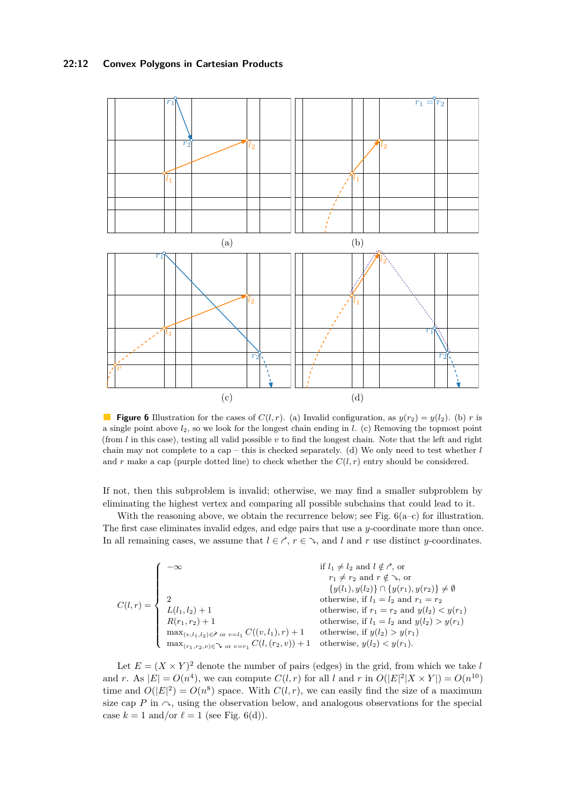#### **22:12 Convex Polygons in Cartesian Products**

<span id="page-11-0"></span>

**Figure 6** Illustration for the cases of  $C(l, r)$ . (a) Invalid configuration, as  $y(r_2) = y(l_2)$ . (b) *r* is a single point above *l*2, so we look for the longest chain ending in *l*. (c) Removing the topmost point (from  $l$  in this case), testing all valid possible  $v$  to find the longest chain. Note that the left and right chain may not complete to a cap – this is checked separately. (d) We only need to test whether *l* and *r* make a cap (purple dotted line) to check whether the  $C(l,r)$  entry should be considered.

If not, then this subproblem is invalid; otherwise, we may find a smaller subproblem by eliminating the highest vertex and comparing all possible subchains that could lead to it.

With the reasoning above, we obtain the recurrence below; see Fig.  $6(a-c)$  for illustration. The first case eliminates invalid edges, and edge pairs that use a *y*-coordinate more than once. In all remaining cases, we assume that  $l \in \mathcal{C}$ ,  $r \in \mathcal{C}$ , and *l* and *r* use distinct *y*-coordinates.

$$
C(l,r) = \begin{cases} -\infty & \text{if } l_1 \neq l_2 \text{ and } l \notin \mathcal{C}, \text{ or} \\ r_1 \neq r_2 \text{ and } r \notin \mathcal{C}, \text{ or} \\ 2 & \text{otherwise, if } l_1 = l_2 \text{ and } r_1 = r_2 \\ L(l_1, l_2) + 1 & \text{otherwise, if } l_1 = l_2 \text{ and } y(l_2) < y(r_1) \\ R(r_1, r_2) + 1 & \text{otherwise, if } l_1 = l_2 \text{ and } y(l_2) > y(r_1) \\ \max_{(v,l_1,l_2) \in \mathcal{C}} \text{ or } v = l_1} C((v,l_1),r) + 1 & \text{otherwise, if } y(l_2) > y(r_1) \\ \max_{(r_1,r_2,v) \in \mathcal{C}} \text{ or } v = r_1} C(l,(r_2,v)) + 1 & \text{otherwise, } y(l_2) < y(r_1). \end{cases}
$$

Let  $E = (X \times Y)^2$  denote the number of pairs (edges) in the grid, from which we take *l* and *r*. As  $|E| = O(n^4)$ , we can compute  $C(l,r)$  for all *l* and *r* in  $O(|E|^2|X \times Y|) = O(n^{10})$ time and  $O(|E|^2) = O(n^8)$  space. With  $C(l,r)$ , we can easily find the size of a maximum size cap  $P$  in  $\sim$ , using the observation below, and analogous observations for the special case  $k = 1$  and/or  $\ell = 1$  (see Fig. [6\(](#page-11-0)d)).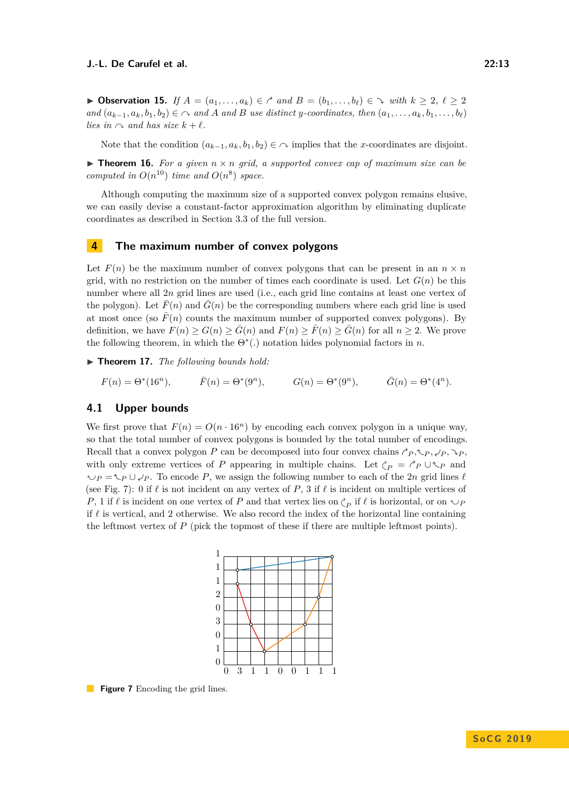▶ Observation 15. *If*  $A = (a_1, \ldots, a_k) \in \mathcal{C}$  and  $B = (b_1, \ldots, b_\ell) \in \mathcal{C}$  with  $k \geq 2, \ell \geq 2$ and  $(a_{k-1}, a_k, b_1, b_2) \in \mathcal{A}$  and A and B use distinct y-coordinates, then  $(a_1, \ldots, a_k, b_1, \ldots, b_\ell)$ *lies in*  $\sim$  *and has size*  $k + \ell$ *.* 

Note that the condition  $(a_{k-1}, a_k, b_1, b_2) \in \mathcal{A}$  implies that the *x*-coordinates are disjoint.

**Figurer 16.** For a given  $n \times n$  grid, a supported convex cap of maximum size can be *computed in*  $O(n^{10})$  *time and*  $O(n^8)$  *space.* 

Although computing the maximum size of a supported convex polygon remains elusive, we can easily devise a constant-factor approximation algorithm by eliminating duplicate coordinates as described in Section 3.3 of the full version.

# <span id="page-12-0"></span>**4 The maximum number of convex polygons**

Let  $F(n)$  be the maximum number of convex polygons that can be present in an  $n \times n$ grid, with no restriction on the number of times each coordinate is used. Let  $G(n)$  be this number where all 2*n* grid lines are used (i.e., each grid line contains at least one vertex of the polygon). Let  $\bar{F}(n)$  and  $\bar{G}(n)$  be the corresponding numbers where each grid line is used at most once (so  $\bar{F}(n)$  counts the maximum number of supported convex polygons). By definition, we have  $F(n) \ge G(n) \ge \overline{G}(n)$  and  $F(n) \ge \overline{F}(n) \ge \overline{G}(n)$  for all  $n \ge 2$ . We prove the following theorem, in which the  $\Theta^*$ . notation hides polynomial factors in *n*.

▶ **Theorem 17.** *The following bounds hold:* 

 $F(n) = \Theta^*(16^n), \quad \bar{F}(n) = \Theta^*(9^n), \quad G(n) = \Theta^*(9^n), \quad \bar{G}(n) = \Theta^*(4^n).$ 

### **4.1 Upper bounds**

<span id="page-12-1"></span>We first prove that  $F(n) = O(n \cdot 16^n)$  by encoding each convex polygon in a unique way, so that the total number of convex polygons is bounded by the total number of encodings. Recall that a convex polygon *P* can be decomposed into four convex chains  $\gamma_P, \zeta_P, \zeta_P, \zeta_P, \zeta_P$ with only extreme vertices of *P* appearing in multiple chains. Let  $\zeta_p = \zeta_p \cup \zeta_p$  and  $\cup_P = \cup_P \cup \cup_P$ . To encode *P*, we assign the following number to each of the 2*n* grid lines  $\ell$ (see Fig. [7\)](#page-12-1): 0 if  $\ell$  is not incident on any vertex of *P*, 3 if  $\ell$  is incident on multiple vertices of *P*, 1 if  $\ell$  is incident on one vertex of *P* and that vertex lies on  $\zeta_P$  if  $\ell$  is horizontal, or on  $\zeta_P$ if  $\ell$  is vertical, and 2 otherwise. We also record the index of the horizontal line containing the leftmost vertex of *P* (pick the topmost of these if there are multiple leftmost points).



**Figure 7** Encoding the grid lines.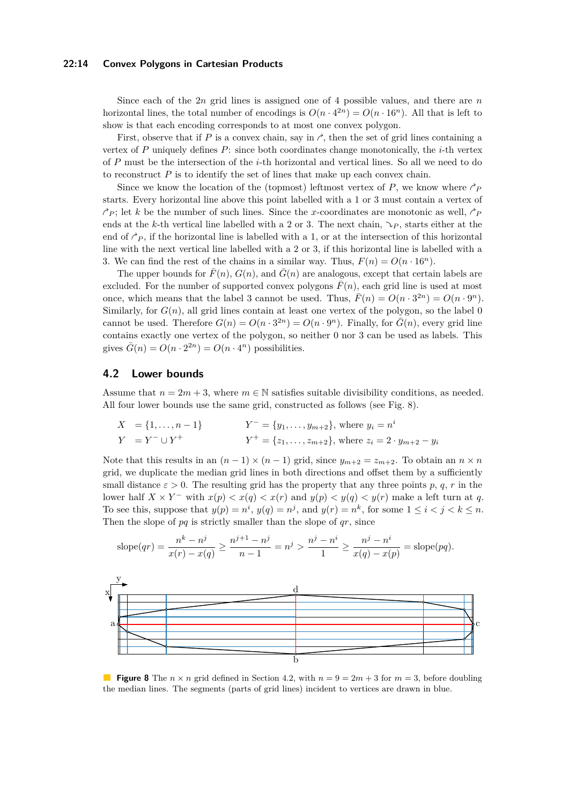#### **22:14 Convex Polygons in Cartesian Products**

Since each of the 2*n* grid lines is assigned one of 4 possible values, and there are *n* horizontal lines, the total number of encodings is  $O(n \cdot 4^{2n}) = O(n \cdot 16^n)$ . All that is left to show is that each encoding corresponds to at most one convex polygon.

First, observe that if  $P$  is a convex chain, say in  $\gamma$ , then the set of grid lines containing a vertex of *P* uniquely defines *P*: since both coordinates change monotonically, the *i*-th vertex of *P* must be the intersection of the *i*-th horizontal and vertical lines. So all we need to do to reconstruct  $P$  is to identify the set of lines that make up each convex chain.

Since we know the location of the (topmost) leftmost vertex of P, we know where  $\gamma_P$ starts. Every horizontal line above this point labelled with a 1 or 3 must contain a vertex of  $\gamma_P$ ; let *k* be the number of such lines. Since the *x*-coordinates are monotonic as well,  $\gamma_P$ ends at the *k*-th vertical line labelled with a 2 or 3. The next chain,  $\Im p$ , starts either at the end of  $\hat{P}_P$ , if the horizontal line is labelled with a 1, or at the intersection of this horizontal line with the next vertical line labelled with a 2 or 3, if this horizontal line is labelled with a 3. We can find the rest of the chains in a similar way. Thus,  $F(n) = O(n \cdot 16^n)$ .

The upper bounds for  $\bar{F}(n)$ ,  $G(n)$ , and  $\bar{G}(n)$  are analogous, except that certain labels are excluded. For the number of supported convex polygons  $\bar{F}(n)$ , each grid line is used at most once, which means that the label 3 cannot be used. Thus,  $\bar{F}(n) = O(n \cdot 3^{2n}) = O(n \cdot 9^n)$ . Similarly, for  $G(n)$ , all grid lines contain at least one vertex of the polygon, so the label 0 cannot be used. Therefore  $G(n) = O(n \cdot 3^{2n}) = O(n \cdot 9^n)$ . Finally, for  $\overline{G}(n)$ , every grid line contains exactly one vertex of the polygon, so neither 0 nor 3 can be used as labels. This gives  $\bar{G}(n) = O(n \cdot 2^{2n}) = O(n \cdot 4^n)$  possibilities.

# <span id="page-13-1"></span>**4.2 Lower bounds**

Assume that  $n = 2m + 3$ , where  $m \in \mathbb{N}$  satisfies suitable divisibility conditions, as needed. All four lower bounds use the same grid, constructed as follows (see Fig. [8\)](#page-13-0).

$$
X = \{1, ..., n-1\}
$$
  
\n
$$
Y^- = \{y_1, ..., y_{m+2}\}, \text{ where } y_i = n^i
$$
  
\n
$$
Y = Y^- \cup Y^+ \qquad Y^+ = \{z_1, ..., z_{m+2}\}, \text{ where } z_i = 2 \cdot y_{m+2} - y_i
$$

Note that this results in an  $(n-1) \times (n-1)$  grid, since  $y_{m+2} = z_{m+2}$ . To obtain an  $n \times n$ grid, we duplicate the median grid lines in both directions and offset them by a sufficiently small distance  $\varepsilon > 0$ . The resulting grid has the property that any three points p, q, r in the lower half  $X \times Y^-$  with  $x(p) < x(q) < x(r)$  and  $y(p) < y(q) < y(r)$  make a left turn at q. To see this, suppose that  $y(p) = n^i$ ,  $y(q) = n^j$ , and  $y(r) = n^k$ , for some  $1 \le i < j < k \le n$ . Then the slope of *pq* is strictly smaller than the slope of *qr*, since

$$
\text{slope}(qr) = \frac{n^k - n^j}{x(r) - x(q)} \ge \frac{n^{j+1} - n^j}{n-1} = n^j > \frac{n^j - n^i}{1} \ge \frac{n^j - n^i}{x(q) - x(p)} = \text{slope}(pq).
$$

<span id="page-13-0"></span>

**Figure 8** The  $n \times n$  grid defined in Section [4.2,](#page-13-1) with  $n = 9 = 2m + 3$  for  $m = 3$ , before doubling the median lines. The segments (parts of grid lines) incident to vertices are drawn in blue.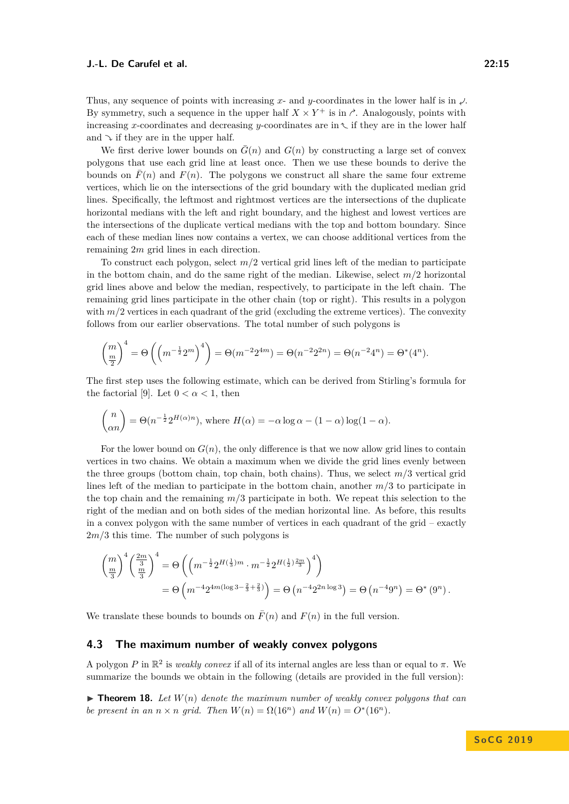Thus, any sequence of points with increasing x- and y-coordinates in the lower half is in  $\mathcal{L}$ . By symmetry, such a sequence in the upper half  $X \times Y^+$  is in  $\triangle$ . Analogously, points with increasing *x*-coordinates and decreasing *y*-coordinates are in  $\sim$  if they are in the lower half and  $\sim$  if they are in the upper half.

We first derive lower bounds on  $\bar{G}(n)$  and  $G(n)$  by constructing a large set of convex polygons that use each grid line at least once. Then we use these bounds to derive the bounds on  $\bar{F}(n)$  and  $F(n)$ . The polygons we construct all share the same four extreme vertices, which lie on the intersections of the grid boundary with the duplicated median grid lines. Specifically, the leftmost and rightmost vertices are the intersections of the duplicate horizontal medians with the left and right boundary, and the highest and lowest vertices are the intersections of the duplicate vertical medians with the top and bottom boundary. Since each of these median lines now contains a vertex, we can choose additional vertices from the remaining 2*m* grid lines in each direction.

To construct each polygon, select *m/*2 vertical grid lines left of the median to participate in the bottom chain, and do the same right of the median. Likewise, select *m/*2 horizontal grid lines above and below the median, respectively, to participate in the left chain. The remaining grid lines participate in the other chain (top or right). This results in a polygon with  $m/2$  vertices in each quadrant of the grid (excluding the extreme vertices). The convexity follows from our earlier observations. The total number of such polygons is

$$
\binom{m}{\frac{m}{2}}^4 = \Theta\left(\left(m^{-\frac{1}{2}} 2^m\right)^4\right) = \Theta(m^{-2} 2^{4m}) = \Theta(n^{-2} 2^{2n}) = \Theta(n^{-2} 4^n) = \Theta^*(4^n).
$$

The first step uses the following estimate, which can be derived from Stirling's formula for the factorial [\[9\]](#page-15-21). Let  $0 < \alpha < 1$ , then

$$
\binom{n}{\alpha n} = \Theta(n^{-\frac{1}{2}} 2^{H(\alpha)n}), \text{ where } H(\alpha) = -\alpha \log \alpha - (1 - \alpha) \log(1 - \alpha).
$$

For the lower bound on  $G(n)$ , the only difference is that we now allow grid lines to contain vertices in two chains. We obtain a maximum when we divide the grid lines evenly between the three groups (bottom chain, top chain, both chains). Thus, we select  $m/3$  vertical grid lines left of the median to participate in the bottom chain, another *m/*3 to participate in the top chain and the remaining *m/*3 participate in both. We repeat this selection to the right of the median and on both sides of the median horizontal line. As before, this results in a convex polygon with the same number of vertices in each quadrant of the grid – exactly 2*m/*3 this time. The number of such polygons is

$$
\begin{aligned}\n\left(\frac{m}{\frac{m}{3}}\right)^4 \left(\frac{2m}{\frac{m}{3}}\right)^4 &= \Theta\left(\left(m^{-\frac{1}{2}} 2^{H(\frac{1}{3})m} \cdot m^{-\frac{1}{2}} 2^{H(\frac{1}{2})\frac{2m}{3}}\right)^4\right) \\
&= \Theta\left(m^{-4} 2^{4m(\log 3 - \frac{2}{3} + \frac{2}{3})}\right) = \Theta\left(n^{-4} 2^{2n \log 3}\right) = \Theta\left(n^{-4} 9^n\right) = \Theta^*\left(9^n\right).\n\end{aligned}
$$

We translate these bounds to bounds on  $\overline{F}(n)$  and  $F(n)$  in the full version.

### **4.3 The maximum number of weakly convex polygons**

A polygon *P* in  $\mathbb{R}^2$  is *weakly convex* if all of its internal angles are less than or equal to  $\pi$ . We summarize the bounds we obtain in the following (details are provided in the full version):

**Find 18.** Let  $W(n)$  denote the maximum number of weakly convex polygons that can *be present in an*  $n \times n$  *grid.* Then  $W(n) = \Omega(16^n)$  *and*  $W(n) = O^*(16^n)$ *.*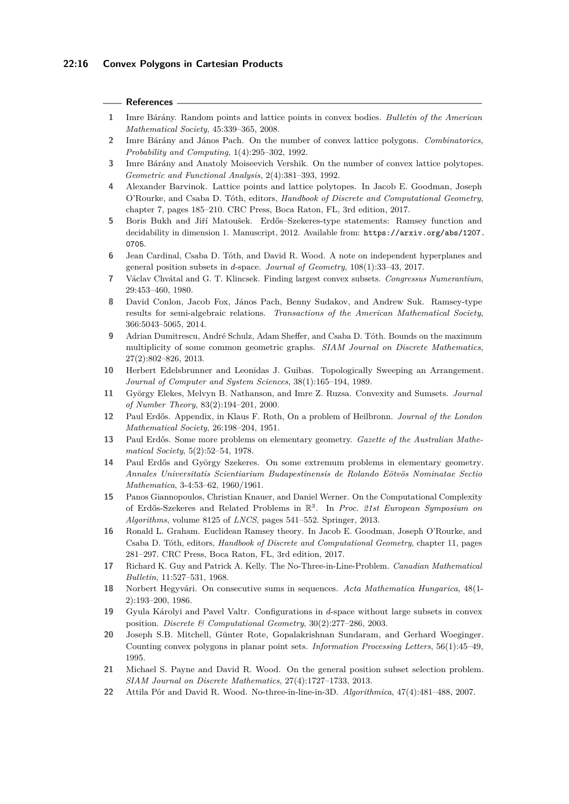#### **References**

- <span id="page-15-10"></span>**1** Imre Bárány. Random points and lattice points in convex bodies. *Bulletin of the American Mathematical Society*, 45:339–365, 2008.
- <span id="page-15-8"></span>**2** Imre Bárány and János Pach. On the number of convex lattice polygons. *Combinatorics, Probability and Computing*, 1(4):295–302, 1992.
- <span id="page-15-9"></span>**3** Imre Bárány and Anatoly Moiseevich Vershik. On the number of convex lattice polytopes. *Geometric and Functional Analysis*, 2(4):381–393, 1992.
- <span id="page-15-11"></span>**4** Alexander Barvinok. Lattice points and lattice polytopes. In Jacob E. Goodman, Joseph O'Rourke, and Csaba D. Tóth, editors, *Handbook of Discrete and Computational Geometry*, chapter 7, pages 185–210. CRC Press, Boca Raton, FL, 3rd edition, 2017.
- <span id="page-15-19"></span>**5** Boris Bukh and Jiří Matoušek. Erdős–Szekeres-type statements: Ramsey function and decidability in dimension 1. Manuscript, 2012. Available from: [https://arxiv.org/abs/1207.](https://arxiv.org/abs/1207.0705) [0705](https://arxiv.org/abs/1207.0705).
- <span id="page-15-16"></span>**6** Jean Cardinal, Csaba D. Tóth, and David R. Wood. A note on independent hyperplanes and general position subsets in *d*-space. *Journal of Geometry*, 108(1):33–43, 2017.
- <span id="page-15-4"></span>**7** Václav Chvátal and G. T. Klincsek. Finding largest convex subsets. *Congressus Numerantium*, 29:453–460, 1980.
- <span id="page-15-20"></span>**8** David Conlon, Jacob Fox, János Pach, Benny Sudakov, and Andrew Suk. Ramsey-type results for semi-algebraic relations. *Transactions of the American Mathematical Society*, 366:5043–5065, 2014.
- <span id="page-15-21"></span>**9** Adrian Dumitrescu, André Schulz, Adam Sheffer, and Csaba D. Tóth. Bounds on the maximum multiplicity of some common geometric graphs. *SIAM Journal on Discrete Mathematics*, 27(2):802–826, 2013.
- <span id="page-15-3"></span>**10** Herbert Edelsbrunner and Leonidas J. Guibas. Topologically Sweeping an Arrangement. *Journal of Computer and System Sciences*, 38(1):165–194, 1989.
- <span id="page-15-17"></span>**11** György Elekes, Melvyn B. Nathanson, and Imre Z. Ruzsa. Convexity and Sumsets. *Journal of Number Theory*, 83(2):194–201, 2000.
- <span id="page-15-12"></span>**12** Paul Erdős. Appendix, in Klaus F. Roth, On a problem of Heilbronn. *Journal of the London Mathematical Society*, 26:198–204, 1951.
- <span id="page-15-7"></span>**13** Paul Erdős. Some more problems on elementary geometry. *Gazette of the Australian Mathematical Society*, 5(2):52–54, 1978.
- <span id="page-15-1"></span>**14** Paul Erdős and György Szekeres. On some extremum problems in elementary geometry. *Annales Universitatis Scientiarium Budapestinensis de Rolando Eötvös Nominatae Sectio Mathematica*, 3-4:53–62, 1960/1961.
- <span id="page-15-6"></span>**15** Panos Giannopoulos, Christian Knauer, and Daniel Werner. On the Computational Complexity of Erdős-Szekeres and Related Problems in R 3 . In *Proc. 21st European Symposium on Algorithms*, volume 8125 of *LNCS*, pages 541–552. Springer, 2013.
- <span id="page-15-0"></span>**16** Ronald L. Graham. Euclidean Ramsey theory. In Jacob E. Goodman, Joseph O'Rourke, and Csaba D. Tóth, editors, *Handbook of Discrete and Computational Geometry*, chapter 11, pages 281–297. CRC Press, Boca Raton, FL, 3rd edition, 2017.
- <span id="page-15-13"></span>**17** Richard K. Guy and Patrick A. Kelly. The No-Three-in-Line-Problem. *Canadian Mathematical Bulletin*, 11:527–531, 1968.
- <span id="page-15-18"></span>**18** Norbert Hegyvári. On consecutive sums in sequences. *Acta Mathematica Hungarica*, 48(1- 2):193–200, 1986.
- <span id="page-15-2"></span>**19** Gyula Károlyi and Pavel Valtr. Configurations in *d*-space without large subsets in convex position. *Discrete & Computational Geometry*, 30(2):277–286, 2003.
- <span id="page-15-5"></span>**20** Joseph S.B. Mitchell, Günter Rote, Gopalakrishnan Sundaram, and Gerhard Woeginger. Counting convex polygons in planar point sets. *Information Processing Letters*, 56(1):45–49, 1995.
- <span id="page-15-15"></span>**21** Michael S. Payne and David R. Wood. On the general position subset selection problem. *SIAM Journal on Discrete Mathematics*, 27(4):1727–1733, 2013.
- <span id="page-15-14"></span>**22** Attila Pór and David R. Wood. No-three-in-line-in-3D. *Algorithmica*, 47(4):481–488, 2007.